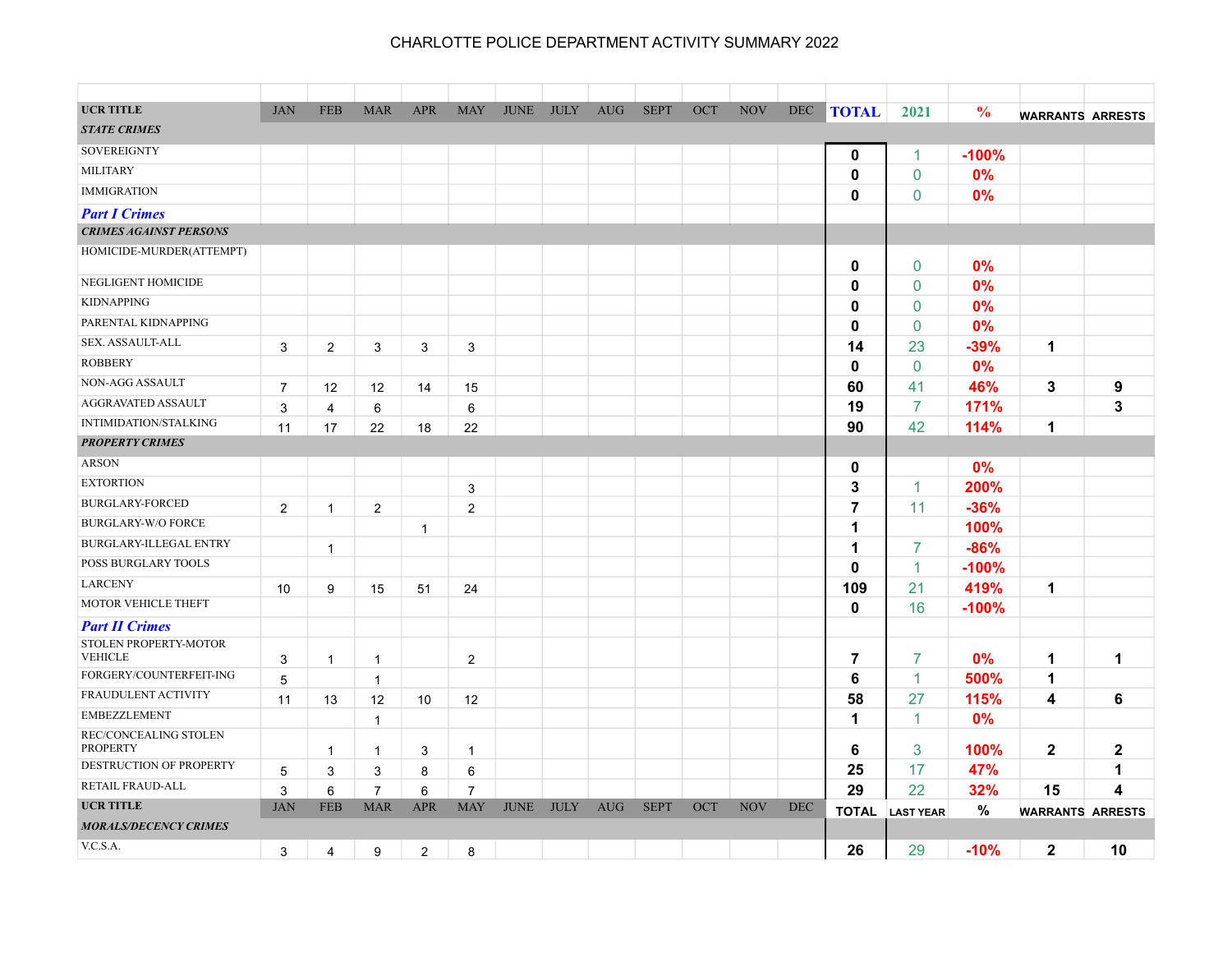| <b>UCR TITLE</b>                                      | <b>JAN</b>     | <b>FEB</b>     | <b>MAR</b>     | <b>APR</b>     | <b>MAY</b>     | <b>JUNE</b> | <b>JULY</b> | <b>AUG</b> | <b>SEPT</b> | OCT | <b>NOV</b> | <b>DEC</b> | <b>TOTAL</b>   | 2021             | $\frac{0}{0}$ |                         |                  |
|-------------------------------------------------------|----------------|----------------|----------------|----------------|----------------|-------------|-------------|------------|-------------|-----|------------|------------|----------------|------------------|---------------|-------------------------|------------------|
| <b>STATE CRIMES</b>                                   |                |                |                |                |                |             |             |            |             |     |            |            |                |                  |               | <b>WARRANTS ARRESTS</b> |                  |
| <b>SOVEREIGNTY</b>                                    |                |                |                |                |                |             |             |            |             |     |            |            |                |                  |               |                         |                  |
| <b>MILITARY</b>                                       |                |                |                |                |                |             |             |            |             |     |            |            | $\mathbf 0$    | 1                | $-100%$       |                         |                  |
| <b>IMMIGRATION</b>                                    |                |                |                |                |                |             |             |            |             |     |            |            | 0              | $\mathbf 0$      | 0%            |                         |                  |
|                                                       |                |                |                |                |                |             |             |            |             |     |            |            | 0              | $\mathbf 0$      | 0%            |                         |                  |
| <b>Part I Crimes</b><br><b>CRIMES AGAINST PERSONS</b> |                |                |                |                |                |             |             |            |             |     |            |            |                |                  |               |                         |                  |
| HOMICIDE-MURDER(ATTEMPT)                              |                |                |                |                |                |             |             |            |             |     |            |            |                |                  |               |                         |                  |
|                                                       |                |                |                |                |                |             |             |            |             |     |            |            | 0              | $\mathbf{0}$     | 0%            |                         |                  |
| NEGLIGENT HOMICIDE                                    |                |                |                |                |                |             |             |            |             |     |            |            | 0              | $\mathbf{0}$     | 0%            |                         |                  |
| <b>KIDNAPPING</b>                                     |                |                |                |                |                |             |             |            |             |     |            |            | 0              | $\mathbf 0$      | 0%            |                         |                  |
| PARENTAL KIDNAPPING                                   |                |                |                |                |                |             |             |            |             |     |            |            | 0              | $\mathbf 0$      | 0%            |                         |                  |
| SEX. ASSAULT-ALL                                      | 3              | $\overline{2}$ | 3              | 3              | 3              |             |             |            |             |     |            |            | 14             | 23               | -39%          | $\mathbf 1$             |                  |
| <b>ROBBERY</b>                                        |                |                |                |                |                |             |             |            |             |     |            |            | 0              | $\mathbf 0$      | 0%            |                         |                  |
| NON-AGG ASSAULT                                       | $\overline{7}$ | 12             | 12             | 14             | 15             |             |             |            |             |     |            |            | 60             | 41               | 46%           | 3                       | 9                |
| AGGRAVATED ASSAULT                                    | 3              | 4              | 6              |                | 6              |             |             |            |             |     |            |            | 19             | $\overline{7}$   | 171%          |                         | 3                |
| <b>INTIMIDATION/STALKING</b>                          | 11             | 17             | 22             | 18             | 22             |             |             |            |             |     |            |            | 90             | 42               | 114%          | 1                       |                  |
| <b>PROPERTY CRIMES</b>                                |                |                |                |                |                |             |             |            |             |     |            |            |                |                  |               |                         |                  |
| <b>ARSON</b>                                          |                |                |                |                |                |             |             |            |             |     |            |            | $\mathbf 0$    |                  | 0%            |                         |                  |
| <b>EXTORTION</b>                                      |                |                |                |                | 3              |             |             |            |             |     |            |            | 3              | 1                | 200%          |                         |                  |
| <b>BURGLARY-FORCED</b>                                | 2              | $\overline{1}$ | $\overline{2}$ |                | $\overline{2}$ |             |             |            |             |     |            |            | $\overline{7}$ | 11               | $-36%$        |                         |                  |
| <b>BURGLARY-W/O FORCE</b>                             |                |                |                | $\mathbf{1}$   |                |             |             |            |             |     |            |            | 1              |                  | 100%          |                         |                  |
| BURGLARY-ILLEGAL ENTRY                                |                | $\mathbf{1}$   |                |                |                |             |             |            |             |     |            |            | 1              | 7                | $-86%$        |                         |                  |
| POSS BURGLARY TOOLS                                   |                |                |                |                |                |             |             |            |             |     |            |            | 0              | 1                | $-100%$       |                         |                  |
| <b>LARCENY</b>                                        | 10             | 9              | 15             | 51             | 24             |             |             |            |             |     |            |            | 109            | 21               | 419%          | $\mathbf 1$             |                  |
| MOTOR VEHICLE THEFT                                   |                |                |                |                |                |             |             |            |             |     |            |            | 0              | 16               | $-100%$       |                         |                  |
| <b>Part II Crimes</b>                                 |                |                |                |                |                |             |             |            |             |     |            |            |                |                  |               |                         |                  |
| STOLEN PROPERTY-MOTOR                                 |                |                |                |                |                |             |             |            |             |     |            |            |                |                  |               |                         |                  |
| <b>VEHICLE</b>                                        | 3              | $\overline{1}$ | $\mathbf{1}$   |                | $\overline{2}$ |             |             |            |             |     |            |            | 7              | $\overline{7}$   | 0%            | 1                       | 1                |
| FORGERY/COUNTERFEIT-ING                               | 5              |                | $\mathbf{1}$   |                |                |             |             |            |             |     |            |            | 6              | 1                | 500%          | 1                       |                  |
| <b>FRAUDULENT ACTIVITY</b>                            | 11             | 13             | 12             | 10             | 12             |             |             |            |             |     |            |            | 58             | 27               | 115%          | 4                       | 6                |
| <b>EMBEZZLEMENT</b>                                   |                |                | $\mathbf{1}$   |                |                |             |             |            |             |     |            |            | 1              | $\mathbf{1}$     | 0%            |                         |                  |
| REC/CONCEALING STOLEN<br><b>PROPERTY</b>              |                | $\mathbf{1}$   | $\mathbf{1}$   | 3              | $\mathbf{1}$   |             |             |            |             |     |            |            | 6              | 3                | 100%          | $\mathbf{2}$            | $\boldsymbol{2}$ |
| DESTRUCTION OF PROPERTY                               | $\sqrt{5}$     | 3              | 3              | 8              | 6              |             |             |            |             |     |            |            | 25             | 17               | 47%           |                         | 1                |
| RETAIL FRAUD-ALL                                      | 3              | 6              | $\overline{7}$ | 6              | $\overline{7}$ |             |             |            |             |     |            |            | 29             | 22               | 32%           | 15                      | 4                |
| <b>UCR TITLE</b>                                      | <b>JAN</b>     | <b>FEB</b>     | <b>MAR</b>     | <b>APR</b>     | <b>MAY</b>     | <b>JUNE</b> | <b>JULY</b> | <b>AUG</b> | <b>SEPT</b> | OCT | <b>NOV</b> | <b>DEC</b> | <b>TOTAL</b>   | <b>LAST YEAR</b> | $\%$          | <b>WARRANTS ARRESTS</b> |                  |
| <b>MORALS/DECENCY CRIMES</b>                          |                |                |                |                |                |             |             |            |             |     |            |            |                |                  |               |                         |                  |
| V.C.S.A.                                              | 3              | 4              | 9              | $\overline{2}$ | 8              |             |             |            |             |     |            |            | 26             | 29               | $-10%$        | $\mathbf{2}$            | 10               |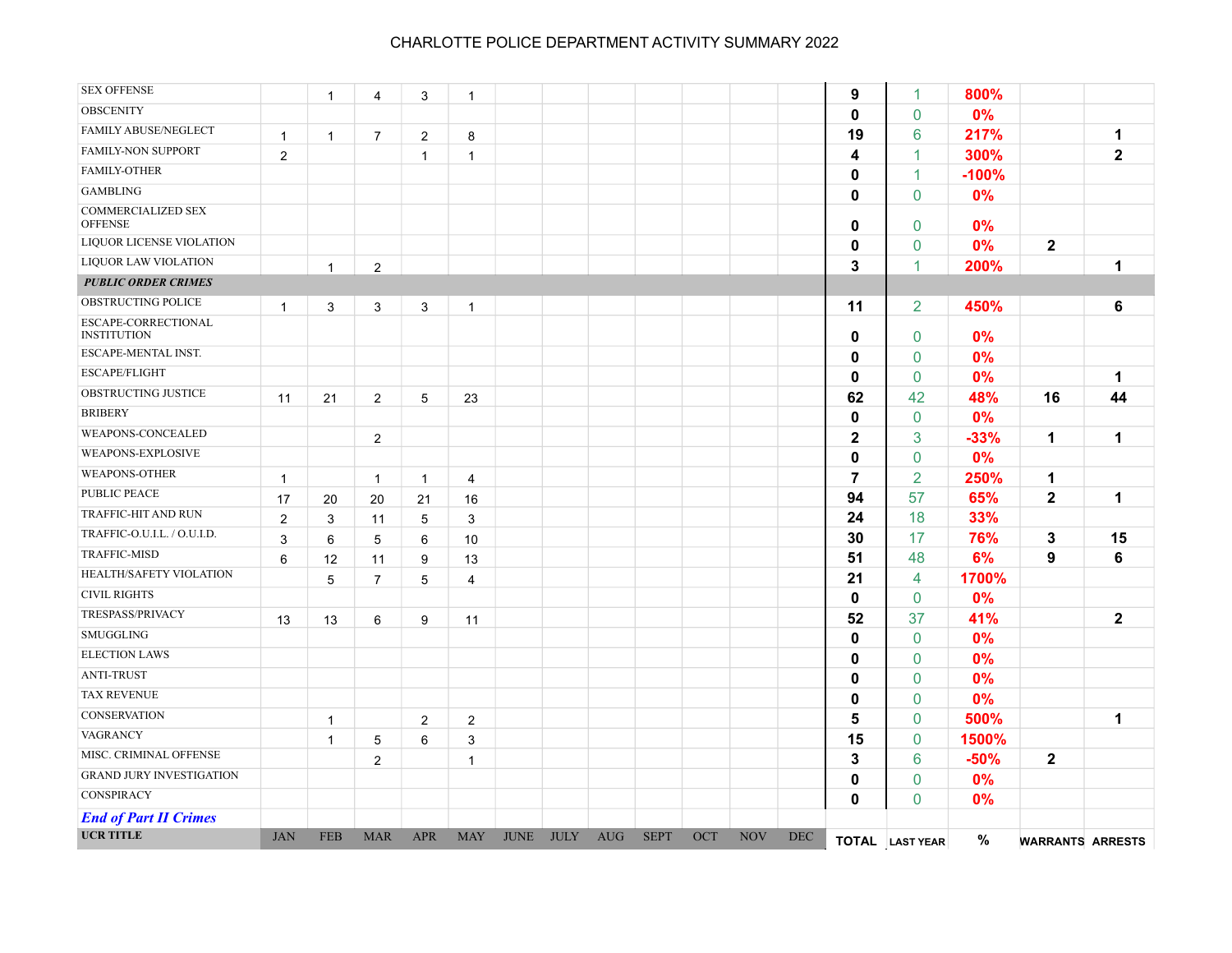| <b>UCR TITLE</b>                            | <b>JAN</b>     | <b>FEB</b>   | <b>MAR</b>     | <b>APR</b>      | <b>MAY</b>     | <b>JUNE</b> | <b>JULY</b> | <b>AUG</b> | <b>SEPT</b> | OCT | <b>NOV</b> | <b>DEC</b> |                         | TOTAL LAST YEAR | $\%$    | <b>WARRANTS ARRESTS</b> |              |
|---------------------------------------------|----------------|--------------|----------------|-----------------|----------------|-------------|-------------|------------|-------------|-----|------------|------------|-------------------------|-----------------|---------|-------------------------|--------------|
| <b>End of Part II Crimes</b>                |                |              |                |                 |                |             |             |            |             |     |            |            |                         |                 |         |                         |              |
| CONSPIRACY                                  |                |              |                |                 |                |             |             |            |             |     |            |            | $\mathbf 0$             | 0               | 0%      |                         |              |
| <b>GRAND JURY INVESTIGATION</b>             |                |              |                |                 |                |             |             |            |             |     |            |            | 0                       | 0               | 0%      |                         |              |
| MISC. CRIMINAL OFFENSE                      |                |              | $\overline{c}$ |                 | $\mathbf{1}$   |             |             |            |             |     |            |            | 3                       | 6               | $-50%$  | $\mathbf{2}$            |              |
| VAGRANCY                                    |                | $\mathbf{1}$ | 5              | 6               | 3              |             |             |            |             |     |            |            | 15                      | $\mathbf 0$     | 1500%   |                         |              |
| <b>CONSERVATION</b>                         |                | $\mathbf{1}$ |                | $\overline{c}$  | $\overline{c}$ |             |             |            |             |     |            |            | 5                       | $\mathbf 0$     | 500%    |                         | 1            |
| <b>TAX REVENUE</b>                          |                |              |                |                 |                |             |             |            |             |     |            |            | 0                       | $\mathbf{0}$    | 0%      |                         |              |
| <b>ANTI-TRUST</b>                           |                |              |                |                 |                |             |             |            |             |     |            |            | 0                       | $\mathbf 0$     | 0%      |                         |              |
| <b>ELECTION LAWS</b>                        |                |              |                |                 |                |             |             |            |             |     |            |            | 0                       | 0               | 0%      |                         |              |
| SMUGGLING                                   |                |              |                |                 |                |             |             |            |             |     |            |            | 0                       | $\mathbf 0$     | 0%      |                         |              |
| TRESPASS/PRIVACY                            | 13             | 13           | 6              | 9               | 11             |             |             |            |             |     |            |            | 52                      | 37              | 41%     |                         | $\mathbf{2}$ |
| <b>CIVIL RIGHTS</b>                         |                |              |                |                 |                |             |             |            |             |     |            |            | 0                       | 0               | 0%      |                         |              |
| HEALTH/SAFETY VIOLATION                     |                | 5            | $\overline{7}$ | 5               | $\overline{4}$ |             |             |            |             |     |            |            | 21                      | 4               | 1700%   |                         |              |
| <b>TRAFFIC-MISD</b>                         | 6              | 12           | 11             | 9               | 13             |             |             |            |             |     |            |            | 51                      | 48              | 6%      | 9                       | 6            |
| TRAFFIC-O.U.I.L. / O.U.I.D.                 | $\mathsf 3$    | 6            | 5              | $\,6\,$         | 10             |             |             |            |             |     |            |            | 30                      | 17              | 76%     | $\mathbf{3}$            | 15           |
| TRAFFIC-HIT AND RUN                         | $\overline{2}$ | $\mathsf 3$  | 11             | $\overline{5}$  | $\mathsf 3$    |             |             |            |             |     |            |            | 24                      | 18              | 33%     |                         |              |
| <b>PUBLIC PEACE</b>                         | 17             | 20           | 20             | 21              | 16             |             |             |            |             |     |            |            | 94                      | 57              | 65%     | $\mathbf{2}$            | $\mathbf 1$  |
| WEAPONS-OTHER                               | $\mathbf{1}$   |              | $\mathbf{1}$   | $\mathbf{1}$    | $\overline{4}$ |             |             |            |             |     |            |            | $\overline{\mathbf{r}}$ | $\overline{2}$  | 250%    | $\mathbf 1$             |              |
| WEAPONS-EXPLOSIVE                           |                |              |                |                 |                |             |             |            |             |     |            |            | 0                       | 0               | 0%      |                         |              |
| WEAPONS-CONCEALED                           |                |              | $\overline{c}$ |                 |                |             |             |            |             |     |            |            | $\mathbf 2$             | 3               | $-33%$  | 1                       | 1            |
| <b>BRIBERY</b>                              |                |              |                |                 |                |             |             |            |             |     |            |            | 0                       | $\mathbf 0$     | 0%      |                         |              |
| OBSTRUCTING JUSTICE                         | 11             | 21           | $\overline{c}$ | $5\phantom{.0}$ | 23             |             |             |            |             |     |            |            | 62                      | 42              | 48%     | 16                      | 44           |
| <b>ESCAPE/FLIGHT</b>                        |                |              |                |                 |                |             |             |            |             |     |            |            | 0                       | $\mathbf 0$     | 0%      |                         | $\mathbf 1$  |
| ESCAPE-MENTAL INST.                         |                |              |                |                 |                |             |             |            |             |     |            |            | 0                       | $\pmb{0}$       | 0%      |                         |              |
| ESCAPE-CORRECTIONAL<br><b>INSTITUTION</b>   |                |              |                |                 |                |             |             |            |             |     |            |            | $\mathbf 0$             | $\pmb{0}$       | 0%      |                         |              |
| OBSTRUCTING POLICE                          | $\mathbf{1}$   | 3            | 3              | 3               | $\mathbf{1}$   |             |             |            |             |     |            |            | 11                      | $\overline{2}$  | 450%    |                         | 6            |
| <b>PUBLIC ORDER CRIMES</b>                  |                |              |                |                 |                |             |             |            |             |     |            |            |                         |                 |         |                         |              |
| <b>LIQUOR LAW VIOLATION</b>                 |                | $\mathbf{1}$ | $\overline{2}$ |                 |                |             |             |            |             |     |            |            | 3                       | $\mathbf{1}$    | 200%    |                         | $\mathbf 1$  |
| LIQUOR LICENSE VIOLATION                    |                |              |                |                 |                |             |             |            |             |     |            |            | $\mathbf{0}$            | $\mathbf 0$     | 0%      | $\mathbf{2}$            |              |
| <b>COMMERCIALIZED SEX</b><br><b>OFFENSE</b> |                |              |                |                 |                |             |             |            |             |     |            |            | 0                       | $\mathbf 0$     | 0%      |                         |              |
| <b>GAMBLING</b>                             |                |              |                |                 |                |             |             |            |             |     |            |            | 0                       | $\mathbf{0}$    | 0%      |                         |              |
| FAMILY-OTHER                                |                |              |                |                 |                |             |             |            |             |     |            |            | 0                       | $\mathbf{1}$    | $-100%$ |                         |              |
| FAMILY-NON SUPPORT                          | $\overline{2}$ |              |                | $\mathbf{1}$    | 1              |             |             |            |             |     |            |            | 4                       | $\mathbf{1}$    | 300%    |                         | $\mathbf{2}$ |
| FAMILY ABUSE/NEGLECT                        | $\mathbf{1}$   | $\mathbf{1}$ | $\overline{7}$ | $\mathbf{2}$    | 8              |             |             |            |             |     |            |            | 19                      | 6               | 217%    |                         | $\mathbf 1$  |
| <b>OBSCENITY</b>                            |                |              |                |                 |                |             |             |            |             |     |            |            | $\mathbf{0}$            | $\Omega$        | 0%      |                         |              |
| <b>SEX OFFENSE</b>                          |                | $\mathbf{1}$ | 4              | 3               | $\mathbf{1}$   |             |             |            |             |     |            |            | 9                       | 1               | 800%    |                         |              |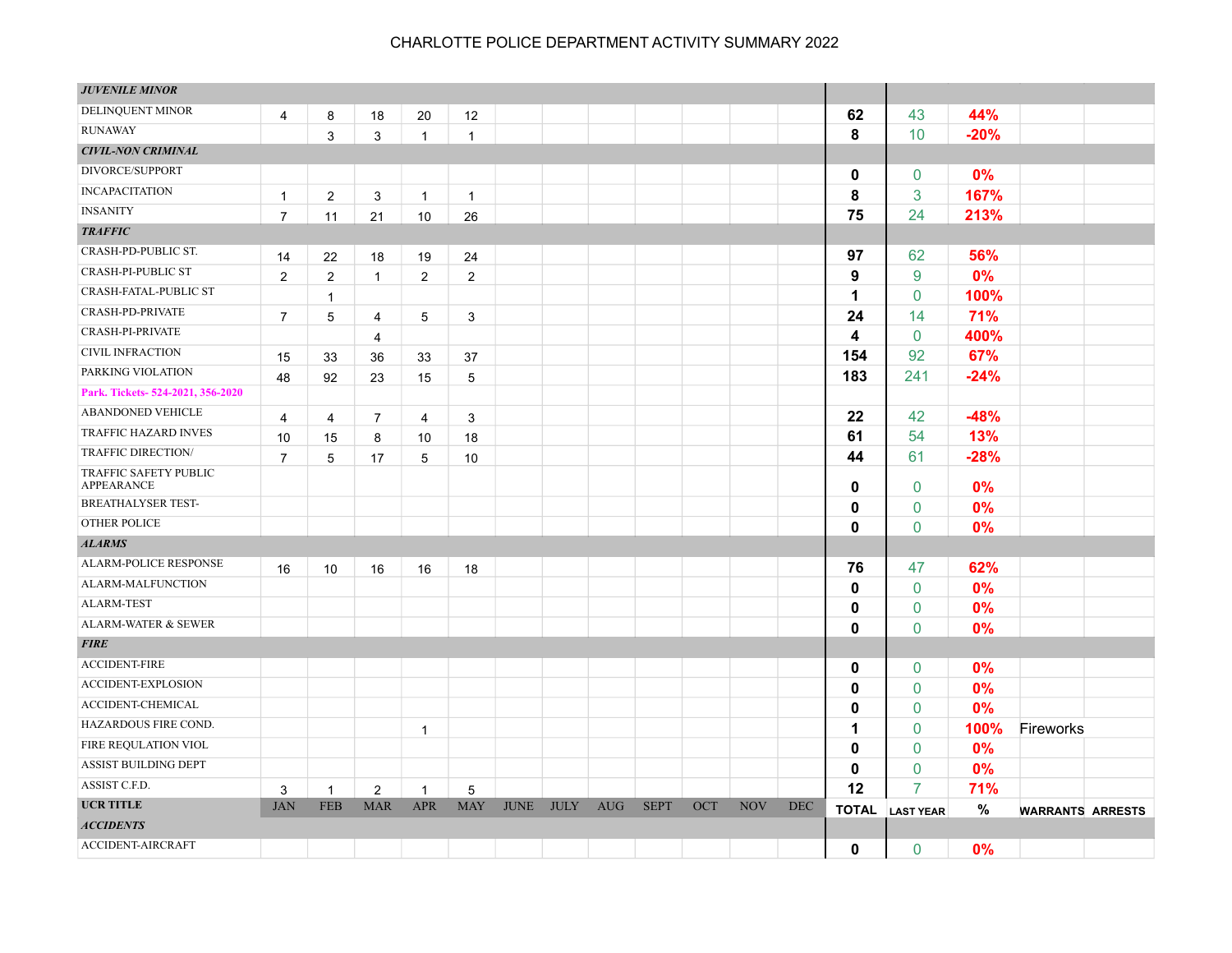| <b>JUVENILE MINOR</b>               |                |                |                |                |                |             |             |            |             |     |            |            |              |                  |        |                         |  |
|-------------------------------------|----------------|----------------|----------------|----------------|----------------|-------------|-------------|------------|-------------|-----|------------|------------|--------------|------------------|--------|-------------------------|--|
| DELINQUENT MINOR                    | 4              | 8              | 18             | 20             | 12             |             |             |            |             |     |            |            | 62           | 43               | 44%    |                         |  |
| <b>RUNAWAY</b>                      |                | 3              | 3              | $\mathbf{1}$   | $\mathbf{1}$   |             |             |            |             |     |            |            | 8            | 10               | $-20%$ |                         |  |
| <b>CIVIL-NON CRIMINAL</b>           |                |                |                |                |                |             |             |            |             |     |            |            |              |                  |        |                         |  |
| DIVORCE/SUPPORT                     |                |                |                |                |                |             |             |            |             |     |            |            | $\mathbf 0$  | $\mathbf{0}$     | 0%     |                         |  |
| <b>INCAPACITATION</b>               | $\mathbf{1}$   | $\overline{2}$ | 3              | $\mathbf{1}$   | $\mathbf{1}$   |             |             |            |             |     |            |            | 8            | 3                | 167%   |                         |  |
| <b>INSANITY</b>                     | $\overline{7}$ | 11             | 21             | 10             | 26             |             |             |            |             |     |            |            | 75           | 24               | 213%   |                         |  |
| <b>TRAFFIC</b>                      |                |                |                |                |                |             |             |            |             |     |            |            |              |                  |        |                         |  |
| CRASH-PD-PUBLIC ST.                 | 14             | 22             | 18             | 19             | 24             |             |             |            |             |     |            |            | 97           | 62               | 56%    |                         |  |
| <b>CRASH-PI-PUBLIC ST</b>           | $\overline{2}$ | $\overline{2}$ | $\mathbf{1}$   | $\overline{2}$ | $\overline{2}$ |             |             |            |             |     |            |            | 9            | 9                | 0%     |                         |  |
| CRASH-FATAL-PUBLIC ST               |                | $\mathbf{1}$   |                |                |                |             |             |            |             |     |            |            | 1            | 0                | 100%   |                         |  |
| CRASH-PD-PRIVATE                    | $\overline{7}$ | 5              | $\overline{4}$ | 5              | 3              |             |             |            |             |     |            |            | 24           | 14               | 71%    |                         |  |
| CRASH-PI-PRIVATE                    |                |                | $\overline{4}$ |                |                |             |             |            |             |     |            |            | 4            | $\mathbf{0}$     | 400%   |                         |  |
| <b>CIVIL INFRACTION</b>             | 15             | 33             | 36             | 33             | 37             |             |             |            |             |     |            |            | 154          | 92               | 67%    |                         |  |
| PARKING VIOLATION                   | 48             | 92             | 23             | 15             | 5              |             |             |            |             |     |            |            | 183          | 241              | $-24%$ |                         |  |
| Park. Tickets-524-2021, 356-2020    |                |                |                |                |                |             |             |            |             |     |            |            |              |                  |        |                         |  |
| ABANDONED VEHICLE                   | 4              | 4              | $\overline{7}$ | $\overline{4}$ | 3              |             |             |            |             |     |            |            | 22           | 42               | $-48%$ |                         |  |
| TRAFFIC HAZARD INVES                | 10             | 15             | 8              | 10             | 18             |             |             |            |             |     |            |            | 61           | 54               | 13%    |                         |  |
| <b>TRAFFIC DIRECTION/</b>           | $\overline{7}$ | 5              | 17             | 5              | 10             |             |             |            |             |     |            |            | 44           | 61               | $-28%$ |                         |  |
| TRAFFIC SAFETY PUBLIC<br>APPEARANCE |                |                |                |                |                |             |             |            |             |     |            |            | 0            | $\mathbf{0}$     | 0%     |                         |  |
| <b>BREATHALYSER TEST-</b>           |                |                |                |                |                |             |             |            |             |     |            |            | 0            | 0                | 0%     |                         |  |
| <b>OTHER POLICE</b>                 |                |                |                |                |                |             |             |            |             |     |            |            | 0            | $\mathbf{0}$     | 0%     |                         |  |
| <b>ALARMS</b>                       |                |                |                |                |                |             |             |            |             |     |            |            |              |                  |        |                         |  |
| <b>ALARM-POLICE RESPONSE</b>        | 16             | 10             | 16             | 16             | 18             |             |             |            |             |     |            |            | 76           | 47               | 62%    |                         |  |
| ALARM-MALFUNCTION                   |                |                |                |                |                |             |             |            |             |     |            |            | 0            | $\mathbf{0}$     | 0%     |                         |  |
| <b>ALARM-TEST</b>                   |                |                |                |                |                |             |             |            |             |     |            |            | 0            | $\mathbf 0$      | 0%     |                         |  |
| ALARM-WATER & SEWER                 |                |                |                |                |                |             |             |            |             |     |            |            | 0            | $\overline{0}$   | 0%     |                         |  |
| <b>FIRE</b>                         |                |                |                |                |                |             |             |            |             |     |            |            |              |                  |        |                         |  |
| <b>ACCIDENT-FIRE</b>                |                |                |                |                |                |             |             |            |             |     |            |            | 0            | 0                | 0%     |                         |  |
| <b>ACCIDENT-EXPLOSION</b>           |                |                |                |                |                |             |             |            |             |     |            |            | 0            | $\mathbf{0}$     | 0%     |                         |  |
| ACCIDENT-CHEMICAL                   |                |                |                |                |                |             |             |            |             |     |            |            | 0            | 0                | 0%     |                         |  |
| HAZARDOUS FIRE COND.                |                |                |                | $\mathbf{1}$   |                |             |             |            |             |     |            |            | 1            | $\mathbf 0$      | 100%   | Fireworks               |  |
| FIRE REQULATION VIOL                |                |                |                |                |                |             |             |            |             |     |            |            | 0            | $\mathbf{0}$     | 0%     |                         |  |
| ASSIST BUILDING DEPT                |                |                |                |                |                |             |             |            |             |     |            |            | 0            | $\mathbf{0}$     | 0%     |                         |  |
| ASSIST C.F.D.                       | 3              | $\mathbf{1}$   | $\overline{2}$ | $\mathbf{1}$   | 5              |             |             |            |             |     |            |            | 12           | 7                | 71%    |                         |  |
| <b>UCR TITLE</b>                    | <b>JAN</b>     | <b>FEB</b>     | <b>MAR</b>     | <b>APR</b>     | <b>MAY</b>     | <b>JUNE</b> | <b>JULY</b> | <b>AUG</b> | <b>SEPT</b> | OCT | <b>NOV</b> | <b>DEC</b> | <b>TOTAL</b> | <b>LAST YEAR</b> | $\%$   | <b>WARRANTS ARRESTS</b> |  |
| <b>ACCIDENTS</b>                    |                |                |                |                |                |             |             |            |             |     |            |            |              |                  |        |                         |  |
| <b>ACCIDENT-AIRCRAFT</b>            |                |                |                |                |                |             |             |            |             |     |            |            | $\mathbf{0}$ | $\mathbf{0}$     | 0%     |                         |  |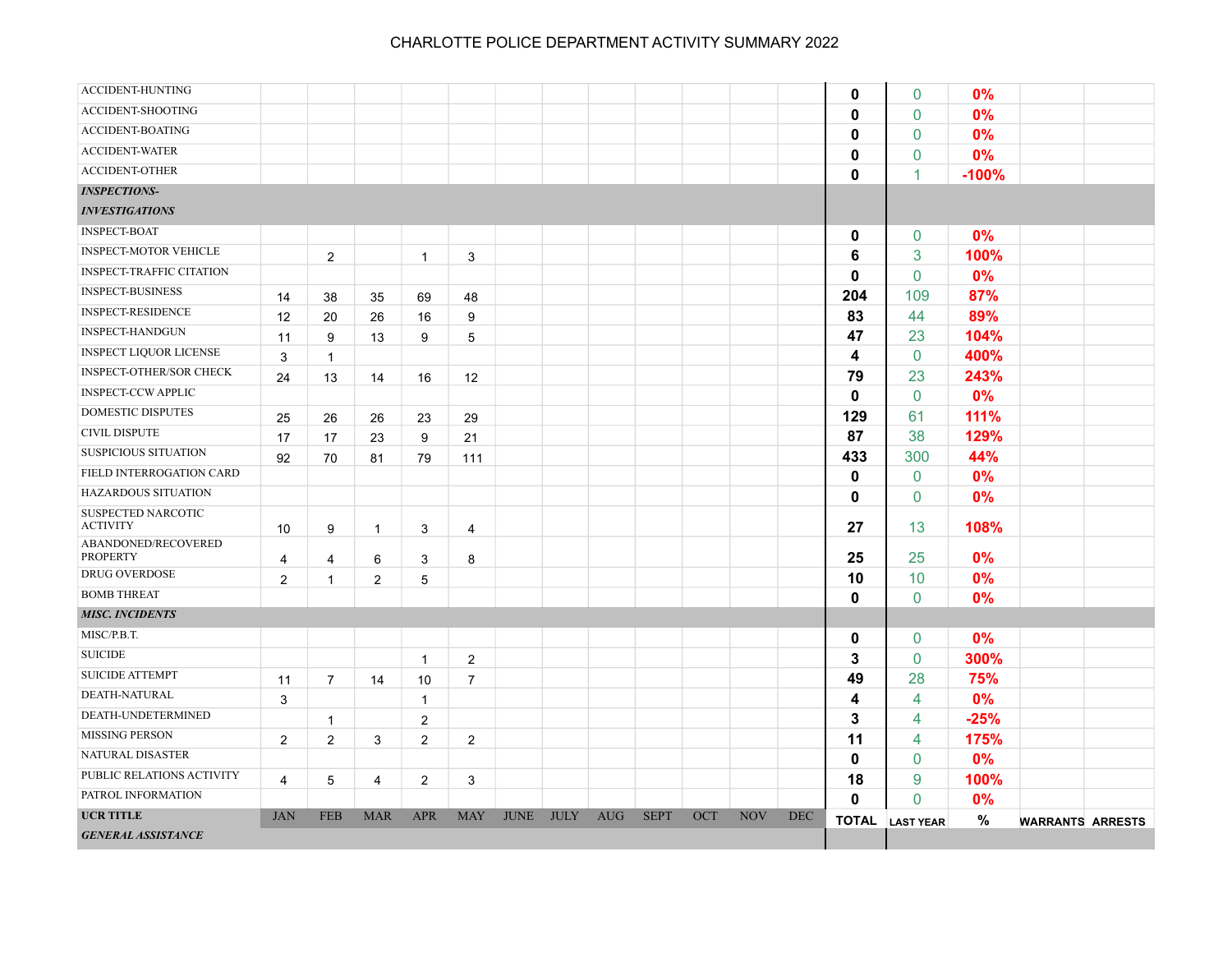| <b>ACCIDENT-HUNTING</b>                |                |                |                |                |                |             |             |            |             |     |            |            | $\mathbf 0$  | $\mathbf 0$            | 0%      |                         |  |
|----------------------------------------|----------------|----------------|----------------|----------------|----------------|-------------|-------------|------------|-------------|-----|------------|------------|--------------|------------------------|---------|-------------------------|--|
| ACCIDENT-SHOOTING                      |                |                |                |                |                |             |             |            |             |     |            |            | $\mathbf{0}$ | $\mathbf{0}$           | 0%      |                         |  |
| <b>ACCIDENT-BOATING</b>                |                |                |                |                |                |             |             |            |             |     |            |            | $\mathbf{0}$ | $\mathbf{0}$           | 0%      |                         |  |
| <b>ACCIDENT-WATER</b>                  |                |                |                |                |                |             |             |            |             |     |            |            | $\mathbf{0}$ | $\mathbf 0$            | 0%      |                         |  |
| <b>ACCIDENT-OTHER</b>                  |                |                |                |                |                |             |             |            |             |     |            |            | $\mathbf{0}$ | 1                      | $-100%$ |                         |  |
| <b>INSPECTIONS-</b>                    |                |                |                |                |                |             |             |            |             |     |            |            |              |                        |         |                         |  |
| <b>INVESTIGATIONS</b>                  |                |                |                |                |                |             |             |            |             |     |            |            |              |                        |         |                         |  |
| <b>INSPECT-BOAT</b>                    |                |                |                |                |                |             |             |            |             |     |            |            | $\mathbf 0$  | $\mathbf 0$            | 0%      |                         |  |
| <b>INSPECT-MOTOR VEHICLE</b>           |                | $\overline{c}$ |                | $\mathbf{1}$   | 3              |             |             |            |             |     |            |            | 6            | 3                      | 100%    |                         |  |
| <b>INSPECT-TRAFFIC CITATION</b>        |                |                |                |                |                |             |             |            |             |     |            |            | $\mathbf{0}$ | $\mathbf{0}$           | 0%      |                         |  |
| <b>INSPECT-BUSINESS</b>                | 14             | 38             | 35             | 69             | 48             |             |             |            |             |     |            |            | 204          | 109                    | 87%     |                         |  |
| <b>INSPECT-RESIDENCE</b>               | 12             | 20             | 26             | 16             | 9              |             |             |            |             |     |            |            | 83           | 44                     | 89%     |                         |  |
| <b>INSPECT-HANDGUN</b>                 | 11             | 9              | 13             | 9              | 5              |             |             |            |             |     |            |            | 47           | 23                     | 104%    |                         |  |
| <b>INSPECT LIQUOR LICENSE</b>          | 3              | $\mathbf{1}$   |                |                |                |             |             |            |             |     |            |            | 4            | $\mathbf 0$            | 400%    |                         |  |
| <b>INSPECT-OTHER/SOR CHECK</b>         | 24             | 13             | 14             | 16             | 12             |             |             |            |             |     |            |            | 79           | 23                     | 243%    |                         |  |
| <b>INSPECT-CCW APPLIC</b>              |                |                |                |                |                |             |             |            |             |     |            |            | $\mathbf{0}$ | $\mathbf{0}$           | 0%      |                         |  |
| <b>DOMESTIC DISPUTES</b>               | 25             | 26             | 26             | 23             | 29             |             |             |            |             |     |            |            | 129          | 61                     | 111%    |                         |  |
| <b>CIVIL DISPUTE</b>                   | 17             | 17             | 23             | 9              | 21             |             |             |            |             |     |            |            | 87           | 38                     | 129%    |                         |  |
| <b>SUSPICIOUS SITUATION</b>            | 92             | 70             | 81             | 79             | 111            |             |             |            |             |     |            |            | 433          | 300                    | 44%     |                         |  |
| FIELD INTERROGATION CARD               |                |                |                |                |                |             |             |            |             |     |            |            | $\mathbf 0$  | 0                      | 0%      |                         |  |
| HAZARDOUS SITUATION                    |                |                |                |                |                |             |             |            |             |     |            |            | $\mathbf{0}$ | $\mathbf 0$            | 0%      |                         |  |
| SUSPECTED NARCOTIC<br><b>ACTIVITY</b>  | 10             | 9              | $\mathbf{1}$   | 3              | 4              |             |             |            |             |     |            |            | 27           | 13                     | 108%    |                         |  |
| ABANDONED/RECOVERED<br><b>PROPERTY</b> | 4              | 4              | 6              | 3              | 8              |             |             |            |             |     |            |            | 25           | 25                     | 0%      |                         |  |
| <b>DRUG OVERDOSE</b>                   | $\overline{2}$ | $\mathbf{1}$   | $\overline{2}$ | 5              |                |             |             |            |             |     |            |            | 10           | 10                     | 0%      |                         |  |
| <b>BOMB THREAT</b>                     |                |                |                |                |                |             |             |            |             |     |            |            | $\mathbf{0}$ | $\mathbf{0}$           | 0%      |                         |  |
| <b>MISC. INCIDENTS</b>                 |                |                |                |                |                |             |             |            |             |     |            |            |              |                        |         |                         |  |
| MISC/P.B.T.                            |                |                |                |                |                |             |             |            |             |     |            |            | $\mathbf 0$  | $\mathbf 0$            | 0%      |                         |  |
| <b>SUICIDE</b>                         |                |                |                | $\mathbf{1}$   | $\overline{2}$ |             |             |            |             |     |            |            | 3            | $\mathbf{0}$           | 300%    |                         |  |
| <b>SUICIDE ATTEMPT</b>                 | 11             | 7              | 14             | 10             | $\overline{7}$ |             |             |            |             |     |            |            | 49           | 28                     | 75%     |                         |  |
| DEATH-NATURAL                          | 3              |                |                | $\mathbf{1}$   |                |             |             |            |             |     |            |            | 4            | 4                      | 0%      |                         |  |
| DEATH-UNDETERMINED                     |                | $\mathbf{1}$   |                | 2              |                |             |             |            |             |     |            |            | 3            | 4                      | $-25%$  |                         |  |
| <b>MISSING PERSON</b>                  | $\overline{2}$ | 2              | 3              | $\overline{2}$ | 2              |             |             |            |             |     |            |            | 11           | 4                      | 175%    |                         |  |
| NATURAL DISASTER                       |                |                |                |                |                |             |             |            |             |     |            |            | $\mathbf{0}$ | $\mathbf{0}$           | 0%      |                         |  |
| PUBLIC RELATIONS ACTIVITY              | 4              | 5              | 4              | $\overline{2}$ | 3              |             |             |            |             |     |            |            | 18           | 9                      | 100%    |                         |  |
| PATROL INFORMATION                     |                |                |                |                |                |             |             |            |             |     |            |            | $\mathbf{0}$ | $\mathbf{0}$           | 0%      |                         |  |
| <b>UCR TITLE</b>                       | <b>JAN</b>     | <b>FEB</b>     | <b>MAR</b>     | <b>APR</b>     | <b>MAY</b>     | <b>JUNE</b> | <b>JULY</b> | <b>AUG</b> | <b>SEPT</b> | OCT | <b>NOV</b> | <b>DEC</b> |              | <b>TOTAL</b> LAST YEAR | $\%$    | <b>WARRANTS ARRESTS</b> |  |
| <b>GENERAL ASSISTANCE</b>              |                |                |                |                |                |             |             |            |             |     |            |            |              |                        |         |                         |  |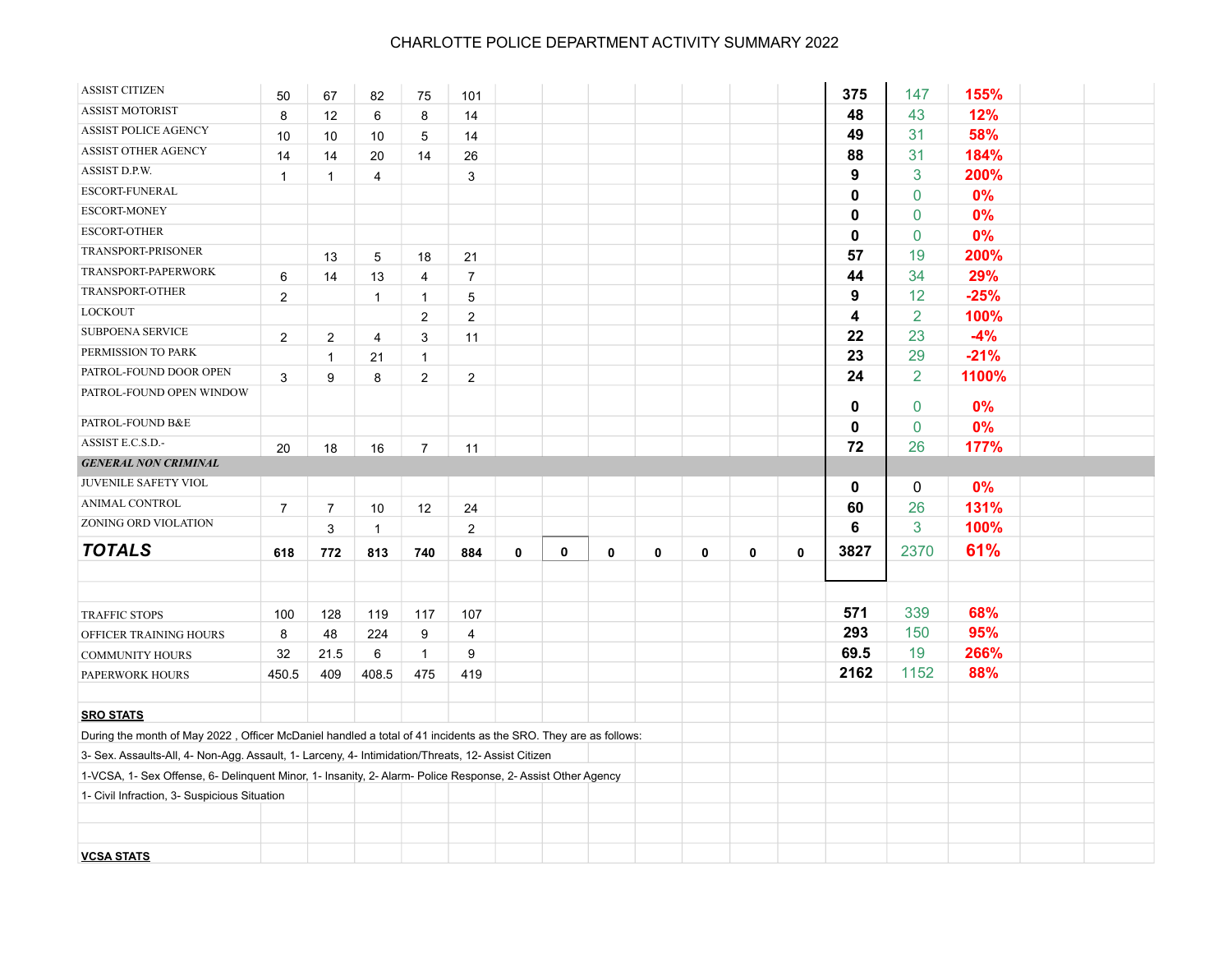| <b>ASSIST CITIZEN</b>                                                                                           | 50             | 67             | 82             | 75             | 101            |   |              |   |   |   |   |              | 375         | 147            | 155%   |  |
|-----------------------------------------------------------------------------------------------------------------|----------------|----------------|----------------|----------------|----------------|---|--------------|---|---|---|---|--------------|-------------|----------------|--------|--|
| <b>ASSIST MOTORIST</b>                                                                                          | 8              | 12             | 6              | 8              | 14             |   |              |   |   |   |   |              | 48          | 43             | 12%    |  |
| ASSIST POLICE AGENCY                                                                                            | 10             | 10             | 10             | 5              | 14             |   |              |   |   |   |   |              | 49          | 31             | 58%    |  |
| <b>ASSIST OTHER AGENCY</b>                                                                                      | 14             | 14             | 20             | 14             | 26             |   |              |   |   |   |   |              | 88          | 31             | 184%   |  |
| ASSIST D.P.W.                                                                                                   | $\mathbf{1}$   | $\mathbf{1}$   | $\overline{4}$ |                | 3              |   |              |   |   |   |   |              | 9           | 3              | 200%   |  |
| ESCORT-FUNERAL                                                                                                  |                |                |                |                |                |   |              |   |   |   |   |              | 0           | $\mathbf 0$    | 0%     |  |
| ESCORT-MONEY                                                                                                    |                |                |                |                |                |   |              |   |   |   |   |              | 0           | $\pmb{0}$      | 0%     |  |
| <b>ESCORT-OTHER</b>                                                                                             |                |                |                |                |                |   |              |   |   |   |   |              | 0           | $\pmb{0}$      | 0%     |  |
| TRANSPORT-PRISONER                                                                                              |                | 13             | 5              | 18             | 21             |   |              |   |   |   |   |              | 57          | 19             | 200%   |  |
| TRANSPORT-PAPERWORK                                                                                             | 6              | 14             | 13             | 4              | $\overline{7}$ |   |              |   |   |   |   |              | 44          | 34             | 29%    |  |
| TRANSPORT-OTHER                                                                                                 | $\overline{c}$ |                | $\mathbf{1}$   | $\mathbf{1}$   | $\,$ 5 $\,$    |   |              |   |   |   |   |              | 9           | 12             | $-25%$ |  |
| LOCKOUT                                                                                                         |                |                |                | $\overline{2}$ | 2              |   |              |   |   |   |   |              | 4           | $\overline{2}$ | 100%   |  |
| <b>SUBPOENA SERVICE</b>                                                                                         | $\overline{2}$ | $\overline{2}$ | 4              | 3              | 11             |   |              |   |   |   |   |              | 22          | 23             | $-4%$  |  |
| PERMISSION TO PARK                                                                                              |                | $\mathbf{1}$   | 21             | $\mathbf{1}$   |                |   |              |   |   |   |   |              | 23          | 29             | $-21%$ |  |
| PATROL-FOUND DOOR OPEN                                                                                          | 3              | 9              | 8              | $\overline{2}$ | $\overline{2}$ |   |              |   |   |   |   |              | 24          | $\overline{2}$ | 1100%  |  |
| PATROL-FOUND OPEN WINDOW                                                                                        |                |                |                |                |                |   |              |   |   |   |   |              | 0           | $\mathbf 0$    | 0%     |  |
| PATROL-FOUND B&E                                                                                                |                |                |                |                |                |   |              |   |   |   |   |              | 0           | 0              | 0%     |  |
| ASSIST E.C.S.D.-                                                                                                | 20             | 18             | 16             | $\overline{7}$ | 11             |   |              |   |   |   |   |              | 72          | 26             | 177%   |  |
| <b>GENERAL NON CRIMINAL</b>                                                                                     |                |                |                |                |                |   |              |   |   |   |   |              |             |                |        |  |
| JUVENILE SAFETY VIOL                                                                                            |                |                |                |                |                |   |              |   |   |   |   |              | $\mathbf 0$ | 0              | 0%     |  |
| ANIMAL CONTROL                                                                                                  | $\overline{7}$ | $\overline{7}$ | $10$           | 12             | 24             |   |              |   |   |   |   |              | 60          | 26             | 131%   |  |
| ZONING ORD VIOLATION                                                                                            |                | 3              | $\mathbf{1}$   |                | $\overline{c}$ |   |              |   |   |   |   |              | 6           | 3              | 100%   |  |
| <b>TOTALS</b>                                                                                                   | 618            | 772            | 813            | 740            | 884            | 0 | $\mathbf{0}$ | 0 | 0 | 0 | 0 | $\mathbf{0}$ | 3827        | 2370           | 61%    |  |
|                                                                                                                 |                |                |                |                |                |   |              |   |   |   |   |              |             |                |        |  |
|                                                                                                                 |                |                |                |                |                |   |              |   |   |   |   |              |             |                |        |  |
| <b>TRAFFIC STOPS</b>                                                                                            | 100            | 128            | 119            | 117            | 107            |   |              |   |   |   |   |              | 571         | 339            | 68%    |  |
| OFFICER TRAINING HOURS                                                                                          | 8              | 48             | 224            | 9              | $\overline{4}$ |   |              |   |   |   |   |              | 293         | 150            | 95%    |  |
| <b>COMMUNITY HOURS</b>                                                                                          | 32             | 21.5           | 6              | $\mathbf{1}$   | 9              |   |              |   |   |   |   |              | 69.5        | 19             | 266%   |  |
| PAPERWORK HOURS                                                                                                 | 450.5          | 409            | 408.5          | 475            | 419            |   |              |   |   |   |   |              | 2162        | 1152           | 88%    |  |
|                                                                                                                 |                |                |                |                |                |   |              |   |   |   |   |              |             |                |        |  |
| <b>SRO STATS</b>                                                                                                |                |                |                |                |                |   |              |   |   |   |   |              |             |                |        |  |
| During the month of May 2022, Officer McDaniel handled a total of 41 incidents as the SRO. They are as follows: |                |                |                |                |                |   |              |   |   |   |   |              |             |                |        |  |
| 3- Sex. Assaults-All, 4- Non-Agg. Assault, 1- Larceny, 4- Intimidation/Threats, 12- Assist Citizen              |                |                |                |                |                |   |              |   |   |   |   |              |             |                |        |  |
| 1-VCSA, 1- Sex Offense, 6- Delinquent Minor, 1- Insanity, 2- Alarm- Police Response, 2- Assist Other Agency     |                |                |                |                |                |   |              |   |   |   |   |              |             |                |        |  |
| 1- Civil Infraction, 3- Suspicious Situation                                                                    |                |                |                |                |                |   |              |   |   |   |   |              |             |                |        |  |
|                                                                                                                 |                |                |                |                |                |   |              |   |   |   |   |              |             |                |        |  |
|                                                                                                                 |                |                |                |                |                |   |              |   |   |   |   |              |             |                |        |  |
| <b>VCSA STATS</b>                                                                                               |                |                |                |                |                |   |              |   |   |   |   |              |             |                |        |  |